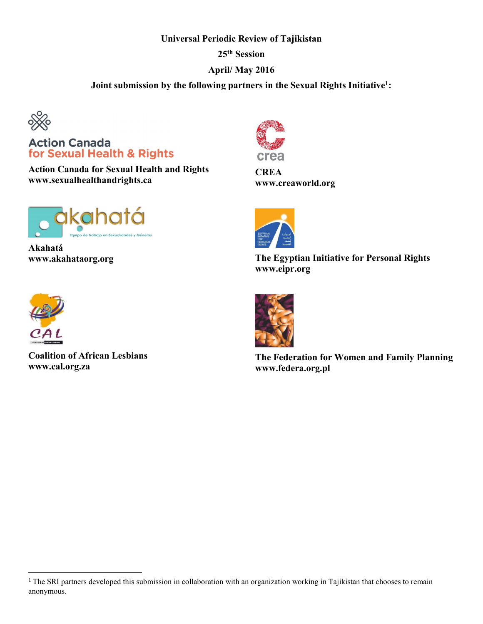## **Universal Periodic Review of Tajikistan**

**25th Session**

## **April/ May 2016**

**Joint submission by the following partners in the Sexual Rights Initiative1:**



**Action Canada** for Sexual Health & Rights

**Action Canada for Sexual Health and Rights www.sexualhealthandrights.ca**



**Akahatá www.akahataorg.org**



**Coalition of African Lesbians www.cal.org.za**



**CREA www.creaworld.org**



**The Egyptian Initiative for Personal Rights www.eipr.org**



**The Federation for Women and Family Planning www.federa.org.pl**

<sup>&</sup>lt;sup>1</sup> The SRI partners developed this submission in collaboration with an organization working in Tajikistan that chooses to remain anonymous.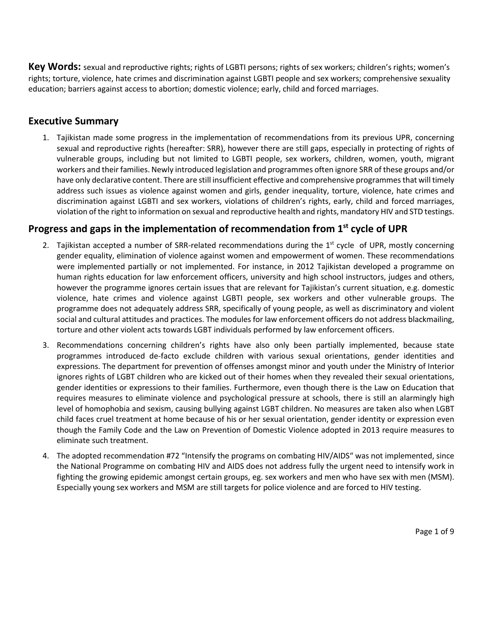**Key Words:** sexual and reproductive rights; rights of LGBTI persons; rights of sex workers; children's rights; women's rights; torture, violence, hate crimes and discrimination against LGBTI people and sex workers; comprehensive sexuality education; barriers against access to abortion; domestic violence; early, child and forced marriages.

## **Executive Summary**

1. Tajikistan made some progress in the implementation of recommendations from its previous UPR, concerning sexual and reproductive rights (hereafter: SRR), however there are still gaps, especially in protecting of rights of vulnerable groups, including but not limited to LGBTI people, sex workers, children, women, youth, migrant workers and their families. Newly introduced legislation and programmes often ignore SRR of these groups and/or have only declarative content. There are still insufficient effective and comprehensive programmes that will timely address such issues as violence against women and girls, gender inequality, torture, violence, hate crimes and discrimination against LGBTI and sex workers, violations of children's rights, early, child and forced marriages, violation of the right to information on sexual and reproductive health and rights, mandatory HIV and STD testings.

# **Progress and gaps in the implementation of recommendation from 1st cycle of UPR**

- 2. Tajikistan accepted a number of SRR-related recommendations during the  $1<sup>st</sup>$  cycle of UPR, mostly concerning gender equality, elimination of violence against women and empowerment of women. These recommendations were implemented partially or not implemented. For instance, in 2012 Tajikistan developed a programme on human rights education for law enforcement officers, university and high school instructors, judges and others, however the programme ignores certain issues that are relevant for Tajikistan's current situation, e.g. domestic violence, hate crimes and violence against LGBTI people, sex workers and other vulnerable groups. The programme does not adequately address SRR, specifically of young people, as well as discriminatory and violent social and cultural attitudes and practices. The modules for law enforcement officers do not address blackmailing, torture and other violent acts towards LGBT individuals performed by law enforcement officers.
- 3. Recommendations concerning children's rights have also only been partially implemented, because state programmes introduced de-facto exclude children with various sexual orientations, gender identities and expressions. The department for prevention of offenses amongst minor and youth under the Ministry of Interior ignores rights of LGBT children who are kicked out of their homes when they revealed their sexual orientations, gender identities or expressions to their families. Furthermore, even though there is the Law on Education that requires measures to eliminate violence and psychological pressure at schools, there is still an alarmingly high level of homophobia and sexism, causing bullying against LGBT children. No measures are taken also when LGBT child faces cruel treatment at home because of his or her sexual orientation, gender identity or expression even though the Family Code and the Law on Prevention of Domestic Violence adopted in 2013 require measures to eliminate such treatment.
- 4. The adopted recommendation #72 "Intensify the programs on combating HIV/AIDS" was not implemented, since the National Programme on combating HIV and AIDS does not address fully the urgent need to intensify work in fighting the growing epidemic amongst certain groups, eg. sex workers and men who have sex with men (MSM). Especially young sex workers and MSM are still targets for police violence and are forced to HIV testing.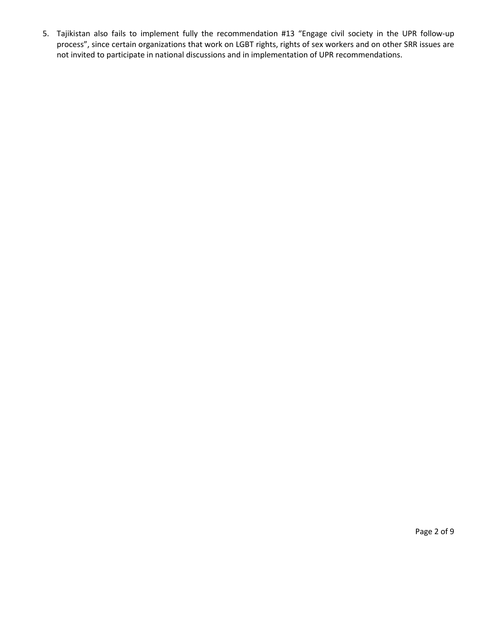5. Tajikistan also fails to implement fully the recommendation #13 "Engage civil society in the UPR follow-up process", since certain organizations that work on LGBT rights, rights of sex workers and on other SRR issues are not invited to participate in national discussions and in implementation of UPR recommendations.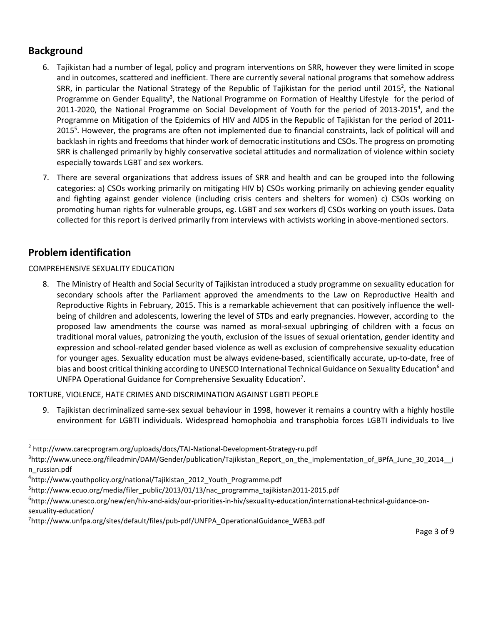# **Background**

- 6. Tajikistan had a number of legal, policy and program interventions on SRR, however they were limited in scope and in outcomes, scattered and inefficient. There are currently several national programs that somehow address SRR, in particular the National Strategy of the Republic of Tajikistan for the period until 2015<sup>2</sup>, the National Programme on Gender Equality<sup>3</sup>, the National Programme on Formation of Healthy Lifestyle for the period of 2011-2020, the National Programme on Social Development of Youth for the period of 2013-2015<sup>4</sup>, and the Programme on Mitigation of the Epidemics of HIV and AIDS in the Republic of Tajikistan for the period of 2011- 2015<sup>5</sup>. However, the programs are often not implemented due to financial constraints, lack of political will and backlash in rights and freedoms that hinder work of democratic institutions and CSOs. The progress on promoting SRR is challenged primarily by highly conservative societal attitudes and normalization of violence within society especially towards LGBT and sex workers.
- 7. There are several organizations that address issues of SRR and health and can be grouped into the following categories: a) CSOs working primarily on mitigating HIV b) CSOs working primarily on achieving gender equality and fighting against gender violence (including crisis centers and shelters for women) c) CSOs working on promoting human rights for vulnerable groups, eg. LGBT and sex workers d) CSOs working on youth issues. Data collected for this report is derived primarily from interviews with activists working in above-mentioned sectors.

# **Problem identification**

### COMPREHENSIVE SEXUALITY EDUCATION

8. The Ministry of Health and Social Security of Tajikistan introduced a study programme on sexuality education for secondary schools after the Parliament approved the amendments to the Law on Reproductive Health and Reproductive Rights in February, 2015. This is a remarkable achievement that can positively influence the wellbeing of children and adolescents, lowering the level of STDs and early pregnancies. However, according to the proposed law amendments the course was named as moral-sexual upbringing of children with a focus on traditional moral values, patronizing the youth, exclusion of the issues of sexual orientation, gender identity and expression and school-related gender based violence as well as exclusion of comprehensive sexuality education for younger ages. Sexuality education must be always evidene-based, scientifically accurate, up-to-date, free of bias and boost critical thinking according to UNESCO International Technical Guidance on Sexuality Education<sup>6</sup> and UNFPA Operational Guidance for Comprehensive Sexuality Education<sup>7</sup>.

TORTURE, VIOLENCE, HATE CRIMES AND DISCRIMINATION AGAINST LGBTI PEOPLE

9. Tajikistan decriminalized same-sex sexual behaviour in 1998, however it remains a country with a highly hostile environment for LGBTI individuals. Widespread homophobia and transphobia forces LGBTI individuals to live

6 http://www.unesco.org/new/en/hiv-and-aids/our-priorities-in-hiv/sexuality-education/international-technical-guidance-onsexuality-education/

 <sup>2</sup> http://www.carecprogram.org/uploads/docs/TAJ-National-Development-Strategy-ru.pdf

<sup>&</sup>lt;sup>3</sup>http://www.unece.org/fileadmin/DAM/Gender/publication/Tajikistan\_Report\_on\_the\_implementation\_of\_BPfA\_June\_30\_2014\_\_i n\_russian.pdf

<sup>4</sup> http://www.youthpolicy.org/national/Tajikistan\_2012\_Youth\_Programme.pdf

<sup>5</sup> http://www.ecuo.org/media/filer\_public/2013/01/13/nac\_programma\_tajikistan2011-2015.pdf

<sup>7</sup> http://www.unfpa.org/sites/default/files/pub-pdf/UNFPA\_OperationalGuidance\_WEB3.pdf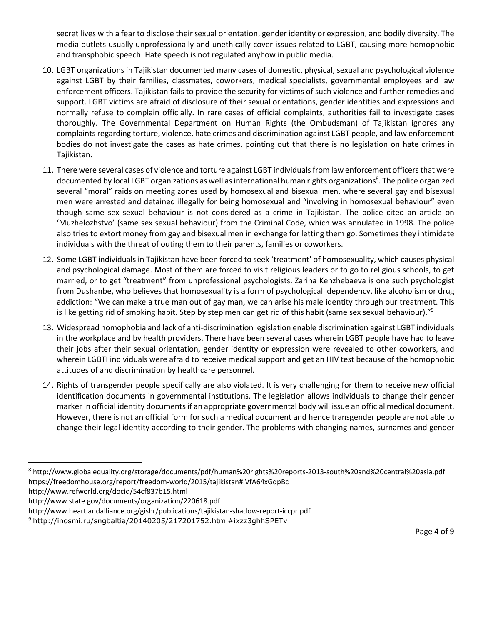secret lives with a fear to disclose their sexual orientation, gender identity or expression, and bodily diversity. The media outlets usually unprofessionally and unethically cover issues related to LGBT, causing more homophobic and transphobic speech. Hate speech is not regulated anyhow in public media.

- 10. LGBT organizations in Tajikistan documented many cases of domestic, physical, sexual and psychological violence against LGBT by their families, classmates, coworkers, medical specialists, governmental employees and law enforcement officers. Tajikistan fails to provide the security for victims of such violence and further remedies and support. LGBT victims are afraid of disclosure of their sexual orientations, gender identities and expressions and normally refuse to complain officially. In rare cases of official complaints, authorities fail to investigate cases thoroughly. The Governmental Department on Human Rights (the Ombudsman) of Tajikistan ignores any complaints regarding torture, violence, hate crimes and discrimination against LGBT people, and law enforcement bodies do not investigate the cases as hate crimes, pointing out that there is no legislation on hate crimes in Tajikistan.
- 11. There were several cases of violence and torture against LGBT individuals from law enforcement officers that were documented by local LGBT organizations as well as international human rights organizations<sup>8</sup>. The police organized several "moral" raids on meeting zones used by homosexual and bisexual men, where several gay and bisexual men were arrested and detained illegally for being homosexual and "involving in homosexual behaviour" even though same sex sexual behaviour is not considered as a crime in Tajikistan. The police cited an article on 'Muzhelozhstvo' (same sex sexual behaviour) from the Criminal Code, which was annulated in 1998. The police also tries to extort money from gay and bisexual men in exchange for letting them go. Sometimes they intimidate individuals with the threat of outing them to their parents, families or coworkers.
- 12. Some LGBT individuals in Tajikistan have been forced to seek 'treatment' of homosexuality, which causes physical and psychological damage. Most of them are forced to visit religious leaders or to go to religious schools, to get married, or to get "treatment" from unprofessional psychologists. Zarina Kenzhebaeva is one such psychologist from Dushanbe, who believes that homosexuality is a form of psychological dependency, like alcoholism or drug addiction: "We can make a true man out of gay man, we can arise his male identity through our treatment. This is like getting rid of smoking habit. Step by step men can get rid of this habit (same sex sexual behaviour)."<sup>9</sup>
- 13. Widespread homophobia and lack of anti-discrimination legislation enable discrimination against LGBT individuals in the workplace and by health providers. There have been several cases wherein LGBT people have had to leave their jobs after their sexual orientation, gender identity or expression were revealed to other coworkers, and wherein LGBTI individuals were afraid to receive medical support and get an HIV test because of the homophobic attitudes of and discrimination by healthcare personnel.
- 14. Rights of transgender people specifically are also violated. It is very challenging for them to receive new official identification documents in governmental institutions. The legislation allows individuals to change their gender marker in official identity documents if an appropriate governmental body will issue an official medical document. However, there is not an official form for such a medical document and hence transgender people are not able to change their legal identity according to their gender. The problems with changing names, surnames and gender

http://www.refworld.org/docid/54cf837b15.html

 <sup>8</sup> http://www.globalequality.org/storage/documents/pdf/human%20rights%20reports-2013-south%20and%20central%20asia.pdf https://freedomhouse.org/report/freedom-world/2015/tajikistan#.VfA64xGqpBc

http://www.state.gov/documents/organization/220618.pdf

http://www.heartlandalliance.org/gishr/publications/tajikistan-shadow-report-iccpr.pdf

<sup>&</sup>lt;sup>9</sup> http://inosmi.ru/sngbaltia/20140205/217201752.html#ixzz3ghhSPETv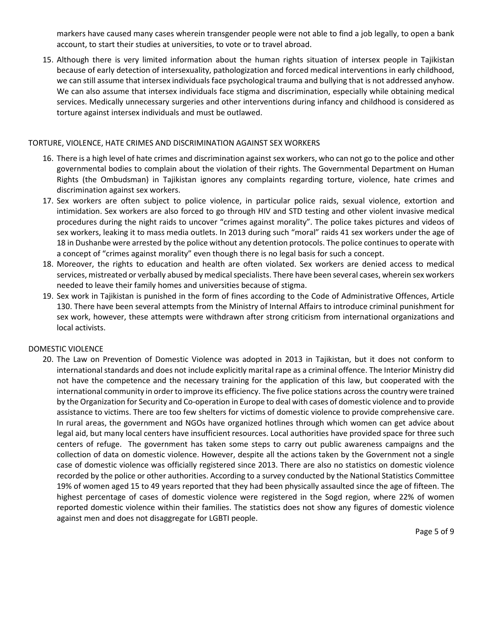markers have caused many cases wherein transgender people were not able to find a job legally, to open a bank account, to start their studies at universities, to vote or to travel abroad.

15. Although there is very limited information about the human rights situation of intersex people in Tajikistan because of early detection of intersexuality, pathologization and forced medical interventions in early childhood, we can still assume that intersex individuals face psychological trauma and bullying that is not addressed anyhow. We can also assume that intersex individuals face stigma and discrimination, especially while obtaining medical services. Medically unnecessary surgeries and other interventions during infancy and childhood is considered as torture against intersex individuals and must be outlawed.

#### TORTURE, VIOLENCE, HATE CRIMES AND DISCRIMINATION AGAINST SEX WORKERS

- 16. There is a high level of hate crimes and discrimination against sex workers, who can not go to the police and other governmental bodies to complain about the violation of their rights. The Governmental Department on Human Rights (the Ombudsman) in Tajikistan ignores any complaints regarding torture, violence, hate crimes and discrimination against sex workers.
- 17. Sex workers are often subject to police violence, in particular police raids, sexual violence, extortion and intimidation. Sex workers are also forced to go through HIV and STD testing and other violent invasive medical procedures during the night raids to uncover "crimes against morality". The police takes pictures and videos of sex workers, leaking it to mass media outlets. In 2013 during such "moral" raids 41 sex workers under the age of 18 in Dushanbe were arrested by the police without any detention protocols. The police continues to operate with a concept of "crimes against morality" even though there is no legal basis for such a concept.
- 18. Moreover, the rights to education and health are often violated. Sex workers are denied access to medical services, mistreated or verbally abused by medical specialists. There have been several cases, wherein sex workers needed to leave their family homes and universities because of stigma.
- 19. Sex work in Tajikistan is punished in the form of fines according to the Code of Administrative Offences, Article 130. There have been several attempts from the Ministry of Internal Affairs to introduce criminal punishment for sex work, however, these attempts were withdrawn after strong criticism from international organizations and local activists.

### DOMESTIC VIOLENCE

20. The Law on Prevention of Domestic Violence was adopted in 2013 in Tajikistan, but it does not conform to international standards and does not include explicitly marital rape as a criminal offence. The Interior Ministry did not have the competence and the necessary training for the application of this law, but cooperated with the international community in order to improve its efficiency. The five police stations across the country were trained by the Organization for Security and Co-operation in Europe to deal with cases of domestic violence and to provide assistance to victims. There are too few shelters for victims of domestic violence to provide comprehensive care. In rural areas, the government and NGOs have organized hotlines through which women can get advice about legal aid, but many local centers have insufficient resources. Local authorities have provided space for three such centers of refuge. The government has taken some steps to carry out public awareness campaigns and the collection of data on domestic violence. However, despite all the actions taken by the Government not a single case of domestic violence was officially registered since 2013. There are also no statistics on domestic violence recorded by the police or other authorities. According to a survey conducted by the National Statistics Committee 19% of women aged 15 to 49 years reported that they had been physically assaulted since the age of fifteen. The highest percentage of cases of domestic violence were registered in the Sogd region, where 22% of women reported domestic violence within their families. The statistics does not show any figures of domestic violence against men and does not disaggregate for LGBTI people.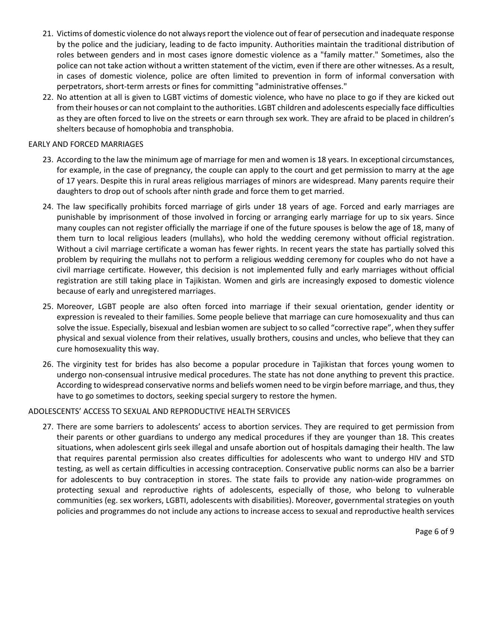- 21. Victims of domestic violence do not always report the violence out of fear of persecution and inadequate response by the police and the judiciary, leading to de facto impunity. Authorities maintain the traditional distribution of roles between genders and in most cases ignore domestic violence as a "family matter." Sometimes, also the police can not take action without a written statement of the victim, even if there are other witnesses. As a result, in cases of domestic violence, police are often limited to prevention in form of informal conversation with perpetrators, short-term arrests or fines for committing "administrative offenses."
- 22. No attention at all is given to LGBT victims of domestic violence, who have no place to go if they are kicked out from their houses or can not complaint to the authorities. LGBT children and adolescents especially face difficulties as they are often forced to live on the streets or earn through sex work. They are afraid to be placed in children's shelters because of homophobia and transphobia.

### EARLY AND FORCED MARRIAGES

- 23. According to the law the minimum age of marriage for men and women is 18 years. In exceptional circumstances, for example, in the case of pregnancy, the couple can apply to the court and get permission to marry at the age of 17 years. Despite this in rural areas religious marriages of minors are widespread. Many parents require their daughters to drop out of schools after ninth grade and force them to get married.
- 24. The law specifically prohibits forced marriage of girls under 18 years of age. Forced and early marriages are punishable by imprisonment of those involved in forcing or arranging early marriage for up to six years. Since many couples can not register officially the marriage if one of the future spouses is below the age of 18, many of them turn to local religious leaders (mullahs), who hold the wedding ceremony without official registration. Without a civil marriage certificate a woman has fewer rights. In recent years the state has partially solved this problem by requiring the mullahs not to perform a religious wedding ceremony for couples who do not have a civil marriage certificate. However, this decision is not implemented fully and early marriages without official registration are still taking place in Tajikistan. Women and girls are increasingly exposed to domestic violence because of early and unregistered marriages.
- 25. Moreover, LGBT people are also often forced into marriage if their sexual orientation, gender identity or expression is revealed to their families. Some people believe that marriage can cure homosexuality and thus can solve the issue. Especially, bisexual and lesbian women are subject to so called "corrective rape", when they suffer physical and sexual violence from their relatives, usually brothers, cousins and uncles, who believe that they can cure homosexuality this way.
- 26. The virginity test for brides has also become a popular procedure in Tajikistan that forces young women to undergo non-consensual intrusive medical procedures. The state has not done anything to prevent this practice. According to widespread conservative norms and beliefs women need to be virgin before marriage, and thus, they have to go sometimes to doctors, seeking special surgery to restore the hymen.

### ADOLESCENTS' ACCESS TO SEXUAL AND REPRODUCTIVE HEALTH SERVICES

27. There are some barriers to adolescents' access to abortion services. They are required to get permission from their parents or other guardians to undergo any medical procedures if they are younger than 18. This creates situations, when adolescent girls seek illegal and unsafe abortion out of hospitals damaging their health. The law that requires parental permission also creates difficulties for adolescents who want to undergo HIV and STD testing, as well as certain difficulties in accessing contraception. Conservative public norms can also be a barrier for adolescents to buy contraception in stores. The state fails to provide any nation-wide programmes on protecting sexual and reproductive rights of adolescents, especially of those, who belong to vulnerable communities (eg. sex workers, LGBTI, adolescents with disabilities). Moreover, governmental strategies on youth policies and programmes do not include any actions to increase access to sexual and reproductive health services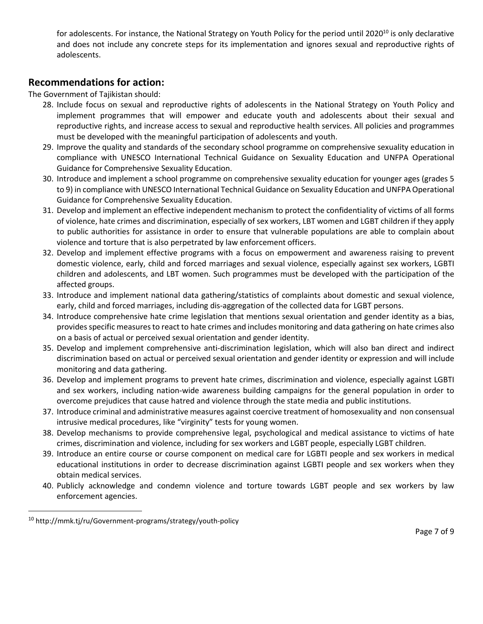for adolescents. For instance, the National Strategy on Youth Policy for the period until 2020<sup>10</sup> is only declarative and does not include any concrete steps for its implementation and ignores sexual and reproductive rights of adolescents.

# **Recommendations for action:**

The Government of Tajikistan should:

- 28. Include focus on sexual and reproductive rights of adolescents in the National Strategy on Youth Policy and implement programmes that will empower and educate youth and adolescents about their sexual and reproductive rights, and increase access to sexual and reproductive health services. All policies and programmes must be developed with the meaningful participation of adolescents and youth.
- 29. Improve the quality and standards of the secondary school programme on comprehensive sexuality education in compliance with UNESCO International Technical Guidance on Sexuality Education and UNFPA Operational Guidance for Comprehensive Sexuality Education.
- 30. Introduce and implement a school programme on comprehensive sexuality education for younger ages (grades 5 to 9) in compliance with UNESCO International Technical Guidance on Sexuality Education and UNFPA Operational Guidance for Comprehensive Sexuality Education.
- 31. Develop and implement an effective independent mechanism to protect the confidentiality of victims of all forms of violence, hate crimes and discrimination, especially of sex workers, LBT women and LGBT children if they apply to public authorities for assistance in order to ensure that vulnerable populations are able to complain about violence and torture that is also perpetrated by law enforcement officers.
- 32. Develop and implement effective programs with a focus on empowerment and awareness raising to prevent domestic violence, early, child and forced marriages and sexual violence, especially against sex workers, LGBTI children and adolescents, and LBT women. Such programmes must be developed with the participation of the affected groups.
- 33. Introduce and implement national data gathering/statistics of complaints about domestic and sexual violence, early, child and forced marriages, including dis-aggregation of the collected data for LGBT persons.
- 34. Introduce comprehensive hate crime legislation that mentions sexual orientation and gender identity as a bias, provides specific measures to react to hate crimes and includes monitoring and data gathering on hate crimes also on a basis of actual or perceived sexual orientation and gender identity.
- 35. Develop and implement comprehensive anti-discrimination legislation, which will also ban direct and indirect discrimination based on actual or perceived sexual orientation and gender identity or expression and will include monitoring and data gathering.
- 36. Develop and implement programs to prevent hate crimes, discrimination and violence, especially against LGBTI and sex workers, including nation-wide awareness building campaigns for the general population in order to overcome prejudices that cause hatred and violence through the state media and public institutions.
- 37. Introduce criminal and administrative measures against coercive treatment of homosexuality and non consensual intrusive medical procedures, like "virginity" tests for young women.
- 38. Develop mechanisms to provide comprehensive legal, psychological and medical assistance to victims of hate crimes, discrimination and violence, including for sex workers and LGBT people, especially LGBT children.
- 39. Introduce an entire course or course component on medical care for LGBTI people and sex workers in medical educational institutions in order to decrease discrimination against LGBTI people and sex workers when they obtain medical services.
- 40. Publicly acknowledge and condemn violence and torture towards LGBT people and sex workers by law enforcement agencies.

 <sup>10</sup> http://mmk.tj/ru/Government-programs/strategy/youth-policy